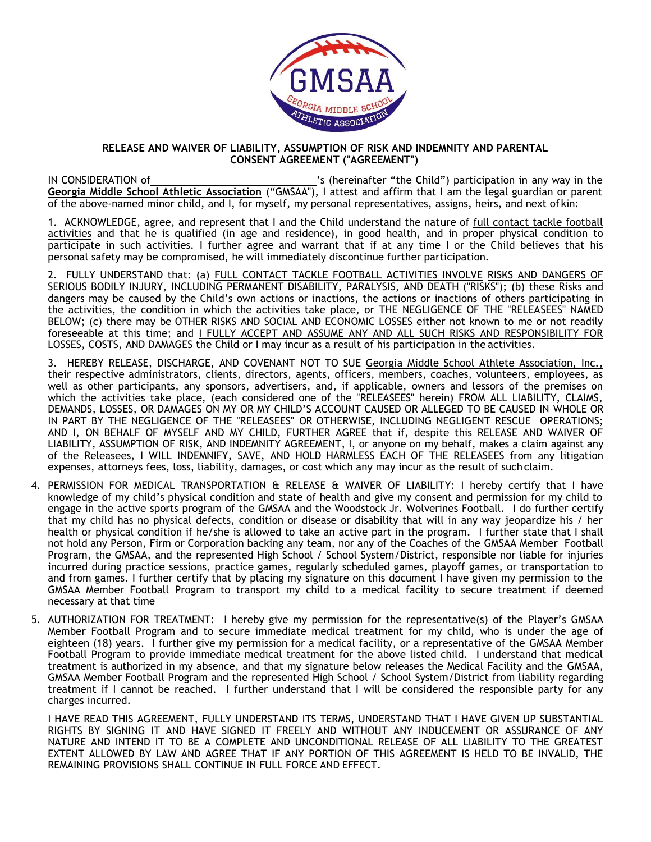

## **RELEASE AND WAIVER OF LIABILITY, ASSUMPTION OF RISK AND INDEMNITY AND PARENTAL CONSENT AGREEMENT ("AGREEMENT")**

IN CONSIDERATION of 's (hereinafter "the Child") participation in any way in the **Georgia Middle School Athletic Association** ("GMSAA"), I attest and affirm that I am the legal guardian or parent of the above-named minor child, and I, for myself, my personal representatives, assigns, heirs, and next of kin:

1. ACKNOWLEDGE, agree, and represent that I and the Child understand the nature of full contact tackle football activities and that he is qualified (in age and residence), in good health, and in proper physical condition to participate in such activities. I further agree and warrant that if at any time I or the Child believes that his personal safety may be compromised, he will immediately discontinue further participation.

2. FULLY UNDERSTAND that: (a) FULL CONTACT TACKLE FOOTBALL ACTIVITIES INVOLVE RISKS AND DANGERS OF SERIOUS BODILY INJURY, INCLUDING PERMANENT DISABILITY, PARALYSIS, AND DEATH ("RISKS"); (b) these Risks and dangers may be caused by the Child's own actions or inactions, the actions or inactions of others participating in the activities, the condition in which the activities take place, or THE NEGLIGENCE OF THE "RELEASEES" NAMED BELOW; (c) there may be OTHER RISKS AND SOCIAL AND ECONOMIC LOSSES either not known to me or not readily foreseeable at this time; and I FULLY ACCEPT AND ASSUME ANY AND ALL SUCH RISKS AND RESPONSIBILITY FOR LOSSES, COSTS, AND DAMAGES the Child or I may incur as a result of his participation in the activities.

- 3. HEREBY RELEASE, DISCHARGE, AND COVENANT NOT TO SUE Georgia Middle School Athlete Association, Inc., their respective administrators, clients, directors, agents, officers, members, coaches, volunteers, employees, as well as other participants, any sponsors, advertisers, and, if applicable, owners and lessors of the premises on which the activities take place, (each considered one of the "RELEASEES" herein) FROM ALL LIABILITY, CLAIMS, DEMANDS, LOSSES, OR DAMAGES ON MY OR MY CHILD'S ACCOUNT CAUSED OR ALLEGED TO BE CAUSED IN WHOLE OR IN PART BY THE NEGLIGENCE OF THE "RELEASEES" OR OTHERWISE, INCLUDING NEGLIGENT RESCUE OPERATIONS; AND I, ON BEHALF OF MYSELF AND MY CHILD, FURTHER AGREE that if, despite this RELEASE AND WAIVER OF LIABILITY, ASSUMPTION OF RISK, AND INDEMNITY AGREEMENT, I, or anyone on my behalf, makes a claim against any of the Releasees, I WILL INDEMNIFY, SAVE, AND HOLD HARMLESS EACH OF THE RELEASEES from any litigation expenses, attorneys fees, loss, liability, damages, or cost which any may incur as the result of suchclaim.
- 4. PERMISSION FOR MEDICAL TRANSPORTATION & RELEASE & WAIVER OF LIABILITY: I hereby certify that I have knowledge of my child's physical condition and state of health and give my consent and permission for my child to engage in the active sports program of the GMSAA and the Woodstock Jr. Wolverines Football. I do further certify that my child has no physical defects, condition or disease or disability that will in any way jeopardize his / her health or physical condition if he/she is allowed to take an active part in the program. I further state that I shall not hold any Person, Firm or Corporation backing any team, nor any of the Coaches of the GMSAA Member Football Program, the GMSAA, and the represented High School / School System/District, responsible nor liable for injuries incurred during practice sessions, practice games, regularly scheduled games, playoff games, or transportation to and from games. I further certify that by placing my signature on this document I have given my permission to the GMSAA Member Football Program to transport my child to a medical facility to secure treatment if deemed necessary at that time
- 5. AUTHORIZATION FOR TREATMENT: I hereby give my permission for the representative(s) of the Player's GMSAA Member Football Program and to secure immediate medical treatment for my child, who is under the age of eighteen (18) years. I further give my permission for a medical facility, or a representative of the GMSAA Member Football Program to provide immediate medical treatment for the above listed child. I understand that medical treatment is authorized in my absence, and that my signature below releases the Medical Facility and the GMSAA, GMSAA Member Football Program and the represented High School / School System/District from liability regarding treatment if I cannot be reached. I further understand that I will be considered the responsible party for any charges incurred.

I HAVE READ THIS AGREEMENT, FULLY UNDERSTAND ITS TERMS, UNDERSTAND THAT I HAVE GIVEN UP SUBSTANTIAL RIGHTS BY SIGNING IT AND HAVE SIGNED IT FREELY AND WITHOUT ANY INDUCEMENT OR ASSURANCE OF ANY NATURE AND INTEND IT TO BE A COMPLETE AND UNCONDITIONAL RELEASE OF ALL LIABILITY TO THE GREATEST EXTENT ALLOWED BY LAW AND AGREE THAT IF ANY PORTION OF THIS AGREEMENT IS HELD TO BE INVALID, THE REMAINING PROVISIONS SHALL CONTINUE IN FULL FORCE AND EFFECT.